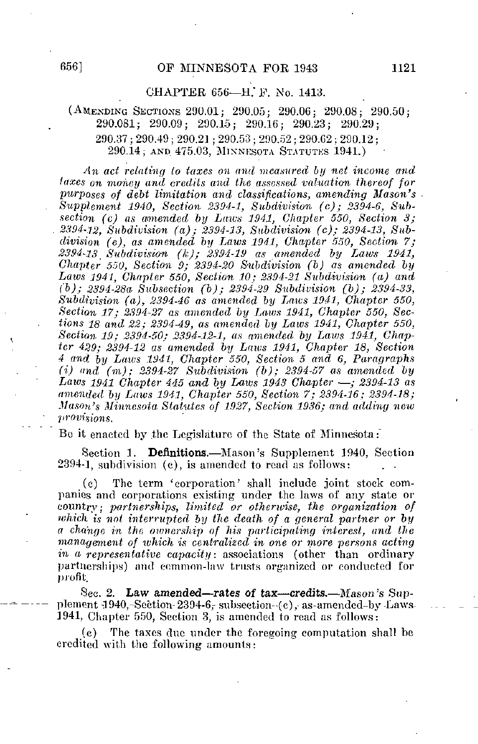# CHAPTER 656—H.'F. No. 1413.

# (AMENDING SECTIONS 290.01; 200.05; 290.06; 290.08; 290.50; 290.081; 290.09; 290.15; 290.16; 290.23; 290.29;  $290.37\,;\,290.49\,;\,290.21\,;\,290.53\,;\,290.52\,;\,290.62\,;\,290.12\,;$ 290.14; AND 475.03, MINNESOTA STATUTES 1941.)

An act relating (o taxes on and measured by net income and iaxes on money and credits and the assessed valuation thereof for purposes of debt limitation and classifications, amending Mason's Supplement 1940, Section 2394-1, Subdivision (c); 2394-6, Subsection (c) as amended by Laws 1941, Chapter 550, Section 3; 2394-12, Subdivision (a); 23M-13, Subdivision (c); 2394-13, Sub $division$  (e), as amended by Laws 1941, Chapter 550, Section 7;  $2394-13$  Subdivision (k);  $2394-19$  as amended by Laws 1941,  $Chapter 550$ , Section 9; 2394-20 Subdivision (b) as amended by Laws 1941, Chapter 550, Section 10; 2394-21 Subdivision  $(a)$  and (b); 2394-280- Subsection (b); 2394-29 Subdivision (b); 2394-33, Subdivision (a), 2394-46 as amended by Laws 1941, Chapter 550, Section 17; 2394-27 as amended by Laws 1941, Chapter 550, Sections IS and 22; 2394-49, as amended by Laws 1941, Chapter 550, Section 19: 2394-50: 2394-12-1, as amended by Laws 1941, Chapter 4%9; 2394-12 as amended bij Laws 1941, Chapter 18, Section  $4$  and by Laws 1941, Chapter 550, Section 5 and 6, Paragraphs (i) and  $(m)$ ; 2394-27 Subdivision (b); 2394-57 as amended by Laws 1941 Chapter 445 and by Laws 1943 Chapter  $-$ ; 2394-13 as amended by Laws 1941, Chapter 550, Section 7; 2394-16; 2394-18; Mason's Minnesota Statutes of 1927, Section 1936; and adding new provisions.

Be it enacted by the Legislature of the State of Minnesota:

Section 1. Definitions.—Mason's Supplement 1940, Section  $2394-1$ , subdivision (c), is amended to read as follows:

(c) Tbe term 'corporation' shall include joint stock companies and corporations existing under the laws of any state or country; partnerships, limited or otherwise, the organization of which is not interrupted by the death of a general partner or by a change in the ownership of his participating interest, and the management of which is centralized in one or more persons acting in a representative capacity: associations (other than ordinary partnerships} and common-law trusts organized or conducted for profit.

•Sec. 2. Law amended—rates of tax—credits.—Mason's Supplement-1940,-Section  $2394-6$ , subsection-(c), as-amended-by Laws-1941, Chapter 550, Section 3, is amended to read as follows:

The taxes due under the foregoing computation shall be credited with the following amounts: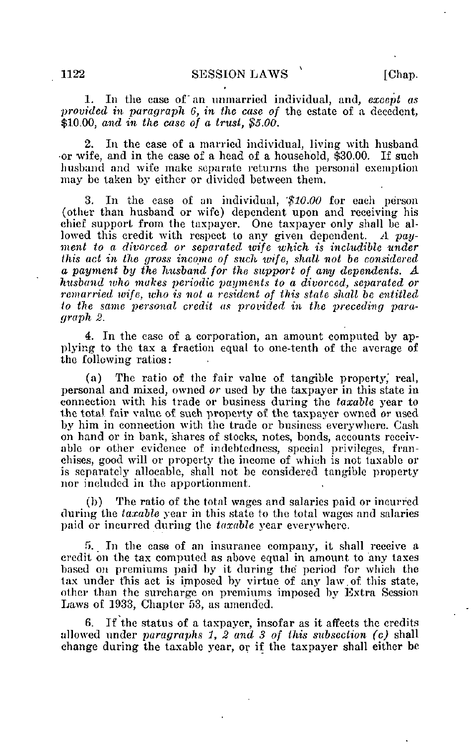1. In the case of an unmarried individual, and, except as provided in paragraph 6, in the case of the estate of a decedent, \$10.00, and in the case of a trust, \$5.00.

2. In the case of a married individual, living with husband -or wife, and in the case of a head of a household, \$30.00. If such husband and wife make separate returns the personal exemption may be taken by either or divided between them.

3. In the case of an individual, '\$10.00 for each person (other than husband or wife) dependent upon and receiving his chief support from the taxpayer. One taxpayer only shall he allowed this credit with respect to any given dependent. A payment to a divorced or separated wife which is includible under this act in the gross income of such wife, shall not be considered a payment by the husband for the support of any dependents. A husband who makes periodic payments to a divorced, separated or remarried wife, who is not a resident of this state shall be entitled to the same personal credit as provided in the preceding paragraph 2.

4. In the case of a corporation, an amount computed by applying to the tax a fraction equal to one-tenth of the average of the following ratios:

(a) The ratio of the fair value of tangible property,' real, personal and mixed, owned or used by the taxpayer in this state in connection with his trade or business during the taxable year to the total fair value of such property of the taxpayer owned or used by him in connection with the trade or business everywhere. Cash on hand or in bank, shares of stocks, notes, bonds, accounts receivable or other evidence of indebtedness, special privileges, franchises, good will or property the income of which is not taxable or is separately allocablc, shall not be considered tangible property nor included in the apportionment.

(b) The ratio of the total wages and salaries paid or incurred during the taxable year in this state to the total wages and salaries paid or incurred during the taxable year everywhere.

5. In the case of an insurance company, it shall receive a credit on the tax computed as above equal in amount to any taxes based on premiums paid by it during the period for which the tax under this act is imposed by virtue of any law.of this state, other than the surcharge on premiums imposed by Extra Session Laws of 1933, Chapter 53, as amended.

If the status of a taxpayer, insofar as it affects the credits allowed under paragraphs 1, 2 and 3 of this subsection (c) shall change during the taxable year, or if the taxpayer shall either be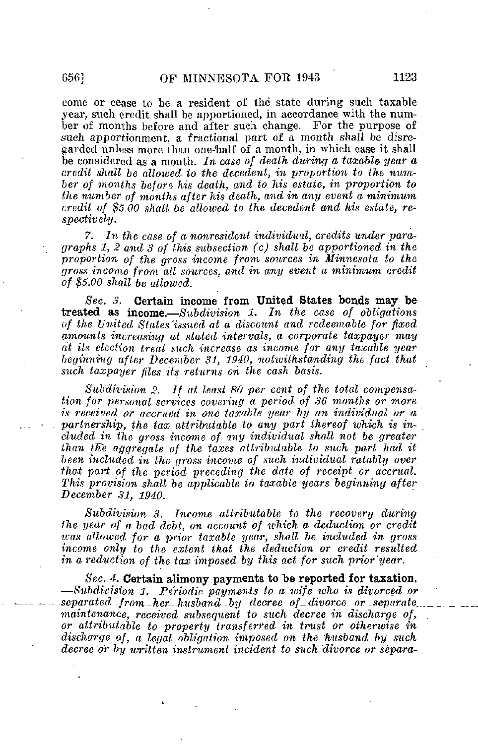come or cease to be a resident of the state during such taxable year, such credit shall be apportioned, in accordance with the number of months before and after such change. For the purpose of such apportionment, a fractional part of a month shall be disregarded unless more than one-naif of a month, in which case it shall be considered as a month. In case of death during a taxable year a credit shall be allowed to the decedent, in proportion to the number of months before his death, and to his estate, in proportion to the number of months after his death, and in any event a minimum credit of \$5.00 shall be allowed to the decedent and his estate, respectively.

7. In the case of a nonresident individual, credits under paragraphs 1, 2 and 3 of this subsection (c) shall be apportioned in the proportion of the gross income from sources in Minnesota to the gross income from all sources, and in any event a minimum credit of \$5.00 shall be allowed.

Sec. 3. Certain income from United States bonds may be treated as income.  $\_\mathit{Subdivision}$  1. In the case of obligations of the United States 'issued at a discount and redeemable for fixed amounts increasing at stated intervals, a corporate taxpayer may at its election treat such increase as income for any taxable year beginning after December 31, 1940, notivithstanding the fact that such taxpayer files its returns on the cash basis.

Subdivision 2. If at least 80 per cent of the total compensation for personal services covering  $\alpha$  period of 36 months or more is received or accrued in one taxable year by an individual or a partnership, the tax attributable to any part thereof which is included in the gross income of any individual shall not be greater than the aggregate of the taxes attributable to such part had it been included in the gross income of such individual ratably over that part of the period preceding the date of receipt or accrual. This provision shall be applicable to taxable years beginning after-December 31, 1940.

Subdivision 3. Income attributable to the recovery during the year of a, bad debt, on account of which, a deduction or credit was allowed for a prior taxable year, shall be included in gross income only to the extent that the deduction or credit resulted in a reduction of the tax imposed by this act for such prior'year.

Sec. 4. Certain alimony payments to be reported for taxation, —Subdivision 3, Periodic payments to a wife who is divorced or  $separated$  from her husband by decree of divorce or separate maintenance, received subsequent to such decree in discharge of, or attributable to property transferred in trust or otherwise in discharge of, a legal obligation imposed on the husband by such decree or by written instrument incident to such divorce or separa-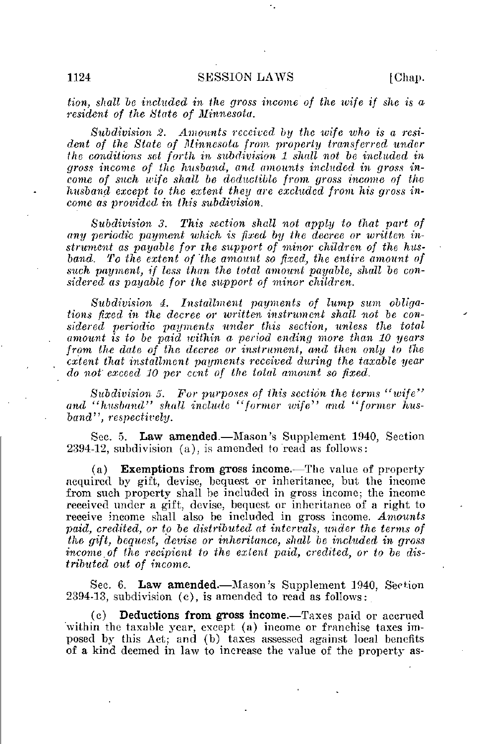tion, shall be included in the gross income of the wife if she is a resident of the State of Minnesota.

Subdivision 2. Amounts received by the wife who is a resident of the Slate of Minnesota from property transferred under the conditions set forth in subdivision 1 shall not be included in gross income of the husband, and amounts included in gross income of such wife shall be deductible from gross income of the husband except to the extent they are excluded from his gross income as provided in this subdivision.

Subdivision 3. This section shall not apply to that part of any periodic payment which is fixed by the decree or written instrument as payable for the support of minor children of the husband. To the extent of the amount so fixed, the entire amount of such payment, if less than the total amount payable, shall be considered as payable for the support of minor children.

Subdivision 4. Installment payments of lump sum obligations fixed in the decree or written instrument shall not be considered periodic payments under this section, unless the total amount is to be paid within a period ending more than 10 years from the date of the decree or instrument, and then only to the extent that installment payments received during the taxable year do not exceed 30 per cent of the total amount so fixed.

Subdivision 5. For purposes of this section the terms "wife" and "husband" shall include "former wife" and "former husband", respectively.

Sec. 5. Law amended.—Mason's Supplement 1940, Section 2394-12, subdivision (a), is amended to read as follows:

(a) **Exemptions from gross income.**—The value of property acquired by gift, devise, bequest or inheritance, but the income from such property shall be included in gross income; the income received under a gift, devise, bequest or inheritance of a right to receive income shall also be included in gross income. Amounts paid, credited, or to be distributed at intervals, under the terms of the gift, bequest, devise or inheritance, shall be included in gross income of the recipient to the extent paid, credited, or to be distributed, out of income.

Sec. 6. Law amended.—Mason's Supplement 1940, Section 2394-13, subdivision (c), is amended to read as follows:

(c) Deductions from gross income.—Taxes paid or accrued within the taxable year, except (a) income or franchise taxes imposed by this Act; and (b) taxes assessed against local benefits of a kind deemed in law to increase the value of the property as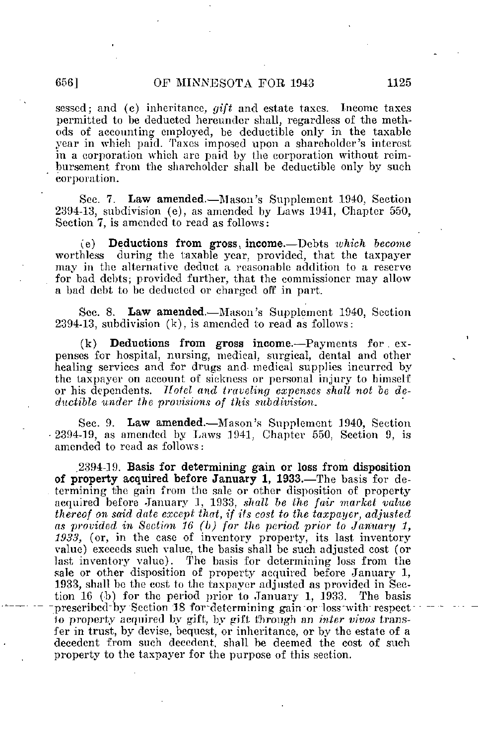sessed; and (c) inheritance,  $\frac{f}{dt}$  and estate taxes. Income taxes permitted to be deducted hereundcr shall, regardless of the methods of accounting employed, be deductible only in the taxable year in which paid. Taxes imposed upon a shareholder's interest in a corporation which are paid by the corporation without reimbursement from the shareholder shall be deductible only by such corporation.

Sec. 7. Law amended.—Mason's Supplement 1940, Section 2394-13, subdivision (e), as amended by Laws 1941, Chapter 550, Section 7, is amended to read as follows:

(e) Deductions from gross, income.—Debts which become during the taxable year, provided, that the taxpayer may in the alternative deduct a reasonable addition to a reserve for bad debts; provided further, that the commissioner may allow a bad debt to be deducted or charged, off in part.

Sec. 8. Law amended.—Mason's Supplement 1940, Section 2394-13, subdivision (k), is amended to read as follows:

 $(k)$  **Deductions from gross income.**—Payments for  $ex$ penses for hospital, nursing, medical, surgical, dental and other healing services and for drugs and medical supplies incurred by the taxpayer on account of sickness or personal injury to himself or his dependents. Hotel and traveling expenses shall not be deductible under the provisions of this subdivision.

Sec. 9. Law amended.—Mason's Supplement 1940, Section 2394-19, as amended by Laws 1941, Chapter 550, Section 9, is amended to read as follows:

.2394-19. Basis for determining gain or loss from disposition of property acquired before January 1, 1933.—The basis for determining the gain from the sale or other disposition of property acquired before January 1, 1933, shall be the fair market value thereof on said date except that, if its cost to the taxpayer, adjusted as provided in Section 36 (b) for the period prior to January 1, 1933, (or, in the case of inventory property, its last inventory value) exceeds such value, the basis shall be such adjusted cost (or last inventory value). The basis for determining loss from the The basis for determining loss from the sale or other disposition of property acquired before January 1, 1933, shall be the cost to the taxpayer adjusted as provided in Section 16 (b) for the period prior to January 1, 1933. The basis prescribed by Section 18 for determining gain or loss with respect 1o property acquired by gift, by gift through an inter vivos transfer in trust, by devise, bequest, or inheritance, or by the estate of a decedent from such decedent, shall be deemed the cost of such property to the taxpayer for the purpose of this section.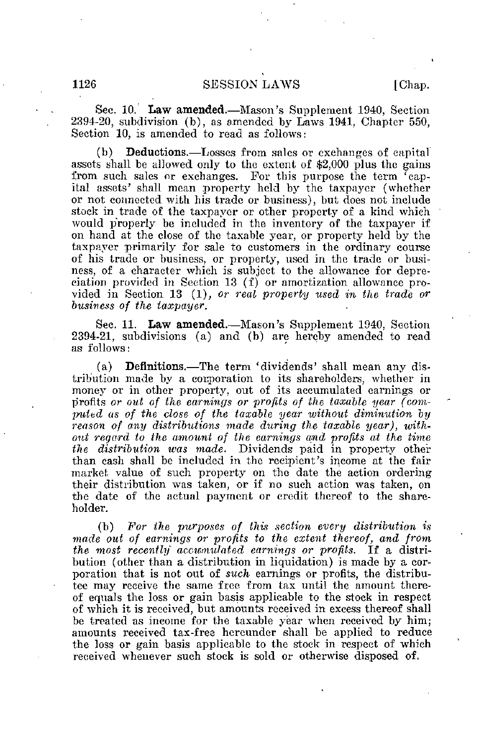Sec. 10. Law amended.—Mason's Supplement 1940, Section 2394-20, subdivision (b), as amended by Laws 1941, Chapter 550, Section 10, is amended to read as follows:

(b) Deductions.—Losses from sales or exchanges of capital assets shall be allowed only to the extent of \$2,000 plus the gains from such sales or exchanges. For this purpose the term 'capital assets' shall mean property held by the taxpayer (whether or not connected with his trade or business), but does not include stock in trade of the taxpayer or other property of a kind which would p'roperly be included in the inventory of the taxpayer if on hand at the close of the taxable year, or property held by the taxpayer primarily for sale to customers in the ordinary course of his trade or business, or property, used in the trade or business, of a character which is subject to the allowance for depreciation provided in Section 13 (f) or amortization allowance provided in Section 13 (1), or real property used in the trade or business of the taxpayer.

Sec. 11. Law amended.—Mason's Supplement 1940, Section 2394-21, subdivisions (a) and (b) are hereby amended to read as follows:

(a) Definitions.—The term 'dividends' shall mean any distribution made by a corporation to its shareholders, whether in money or in other property, out of its accumulated earnings or profits or out of the earnings or profits of the taxable year (computed as of the dose of the taxable year without diminution by reason of any distributions made during the taxable year), without regard to the amount of the earnings and profits at the time the distribution was made. Dividends paid in property other than cash shall be included in the recipient's income at the fair market value of such property on the date the action ordering their distribution was taken, or if no such action was taken, on the date of the actual payment or credit thereof to the shareholder.

(b) For the purposes of this section every distribution is made out of earnings or profits to the extent thereof, and from the most recently accumulated earnings or profits. If a distribution (other than a distribution in liquidation) is made by a corporation that is not out of such earnings or profits, the distributee may receive the same free from tax until the amount thereof equals the loss or gain basis applicable to the stock in respect of which it is received, but amounts received in excess thereof shall be treated as income for the taxable year when received by him; amounts received tax-free hereunder shall be applied to reduce the loss or gain basis applicable to the stock in respect of which received whenever such stock is sold or otherwise disposed of.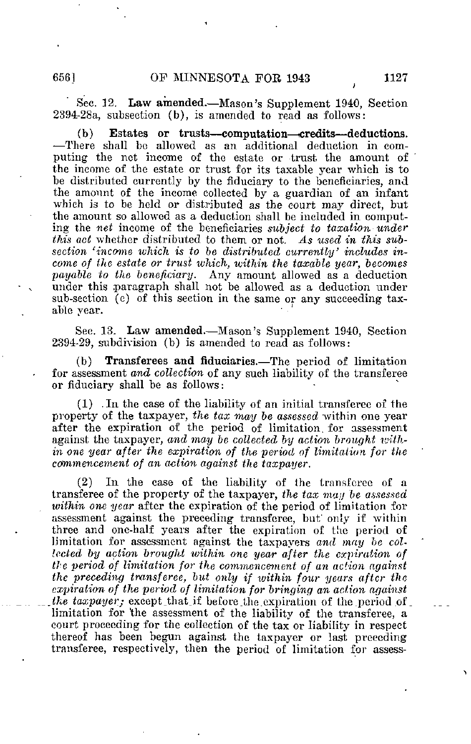Sec. 32. Law amended.—Mason's Supplement 1940, Section 2394-28a, subsection (b), is amended to read as follows:

(b) Estates or trusts—computation—credits—deductions. —There shall be allowed as an additional deduction in computing the net income of the estate or trust, the amount of the income of the estate or trust for its taxable year which is to be distributed currently by the fiduciary to the beneficiaries, and the amount of the income collected by a guardian of an infant which is to be held or distributed as the court may direct, but the amount so allowed as a deduction shall be included in computing the net income of the beneficiaries subject to taxation under this act whether distributed to them or not. As used in this subsection 'income which is to be distributed currently' includes income of the estate or trust which, within the taxable year, becomes payable to the beneficiary. Any amount allowed as a deduction under this paragraph shall not be allowed as a deduction under sub-section (e) of this section in the same or any succeeding taxable year.

Sec. 13. Law amended.—Mason's Supplement 1940, Section 2394-29, subdivision (b) is amended to read as follows:

(b) Transferees and fiduciaries.—The period of limitation for assessment and collection of any such liability of the transferee or fiduciary shall be as follows:

(1) .In the case of the liability of an initial transferee of the property of the taxpayer, the tax may be assessed within one year after the expiration of the period of limitation, for assessment against the taxpayer, and may be collected by action brought within one year after the expiration of the period of limitation for the  $commen cement$  of an action against the taxpayer.

(2) In the case of the liability of the transferee of a transferee of the property of the taxpayer, the tax may be assessed within one year after the expiration of the period of limitation for assessment against the preceding transferee, but only if within three and one-half years after the expiration of the period of limitation for assessment against the taxpayers and- may be collected by action brought within one year after the expiration of the period of limitation for the commencement of an action against the preceding transferee, but only if within four years after the expiration of the period of limitation for bringing an action against the taxpayer; except\_that\_if before the expiration of the period of limitation for 'the assessment of the liability of the transferee, a court proceeding for the collection of the tax or liability in respect thereof has been begun against the taxpayer or last preceding transferee, respectively, then the period of limitation for assess-

>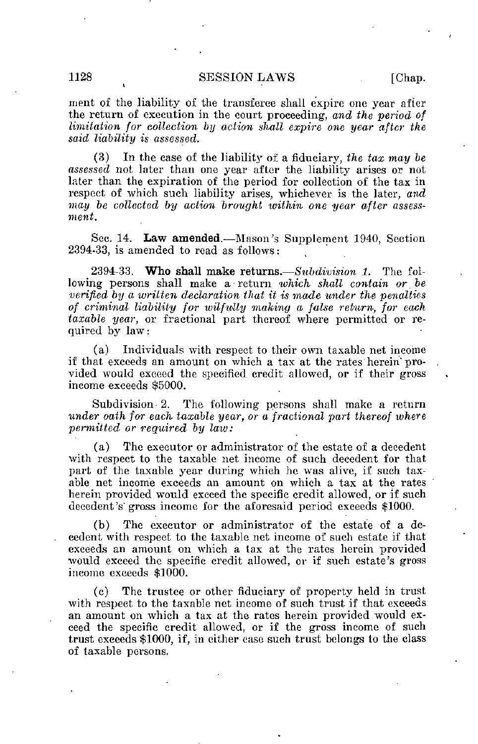### 1128 SESSION LAWS . [Chap.

ment of the liability of the transferee shall expire one year after the return of execution in the court proceeding, and the period of limitation for collection by action shall expire one year after the said liability is assessed.

(3) In the case of the liability of a fiduciary, the tax may be assessed not later than one year after the liability arises or not later than the expiration of the period for collection of the tax in respect of which such liability arises, whichever is the later, and may be collected by action brought within one year after assessment.

Sec. 14. Law amended.—Mason's Supplement 1940, Section 2394-33, is amended to read as follows:

2394-33. Who shall make returns.—Subdivision 1. The following persons shall make a return which shall contain or be verified by a written declaration that it is made under the penalties of criminal liability for wilftdly making a false return, for each taxable year, or fractional part thereof where permitted or required by law:

(a) Individuals with respect to their own taxable net income if that exceeds an amount on which a tax at the rates'herein'provided would exceed the specified credit allowed, or if their gross income exceeds \$5000.

Subdivision 2. The following persons shall make a return under oath for each taxable year, or a fractional part thereof where permitted or required by law:

(a) The executor or administrator of the estate of a decedent with respect to the taxable net income of such decedent for that part of the taxable year during which he was alive, if such taxable net income exceeds an amount on which a tax at the rates herein provided would exceed the specific credit allowed, or if such decedent's gross income for the aforesaid period exceeds \$1000.

(b) The executor or administrator of the estate of a decedent with respect to the taxable net income of such estate if that exceeds an amount on which a tax at the rates herein provided would exceed the specific credit allowed, or if such estate's gross income exceeds \$1000.

(c) The trustee or other fiduciary of property held in trust with respect to the taxable net income of such trust if that exceeds an amount on which a tax at the rates herein provided would exceed the specific credit allowed, or if the gross income of such trust exceeds \$1000, if, in either case such trust belongs to the class of taxable persons.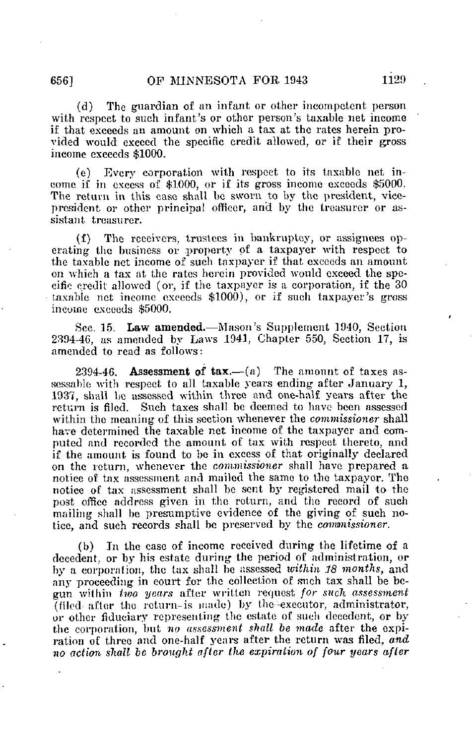(d) The guardian of an infant or other incompetent person with respect to such infant's or other person's taxable net income if that exceeds an amount on which a tax at the rates herein provided would exceed the specific credit allowed, or if their gross income exceeds \$1000.

(e) Every corporation with respect to its taxable net income if in excess of \$1000, or if its gross income exceeds \$5000. The return in this case shall he sworn to by the president, vicepresident or other principal officer, and by the treasurer or assistant treasurer.

(f) The receivers, trustees in bankruptcy, or assignees operating the business or property of a taxpayer with respect to the taxable net income of such taxpayer if that exceeds an amount on which a tax at the rates herein provided would exceed the specific credit allowed (or, if the taxpayer is a corporation, if the 30 taxable net income exceeds \$1000), or if such taxpayer's gross income exceeds \$5000.

Sec. 15. Law amended.—Mason's Supplement 1940, Section 2304-46, as amended by Laws 1941, Chapter 550, Section 17, is amended to read as follows:

2394-46. Assessment of  $\text{tax}$ —(a) The amount of taxes assessable with respect to all taxable years ending after January 1, 1937, shall be assessed within three and one-half years after the return is filed. Such taxes shall be deemed to have been assessed within the meaning of this section whenever the commissioner shall have determined the taxable net income of the taxpayer and computed and recorded the amount of tax with respect thereto, and if the amount is found to be in excess of that originally declared on the return, whenever the commissioner shall have prepared a notice of tax assessment and mailed the same to the taxpayer. The notice of tax assessment shall be sent by registered mail to the post office address given in the return, and the record of such mailing shall be presumptive evidence of the giving of such notice, and such records shall be preserved by the commissioner.

(b) In the case of income received during the lifetime of a decedent, or by his estate during the period of administration, or by a corporation, the tax shall be assessed within 18 months, and any proceeding in court for the collection of such tax shall be begun within two years after written request for such assessment (filed after the return-is made) by the -executor, administrator, or other fiduciary representing the estate of such decedent, or by the corporation, but no assessment shall be made after the expiration of three and one-half years after the return was filed, and no action shall be brought after the expiration of four years after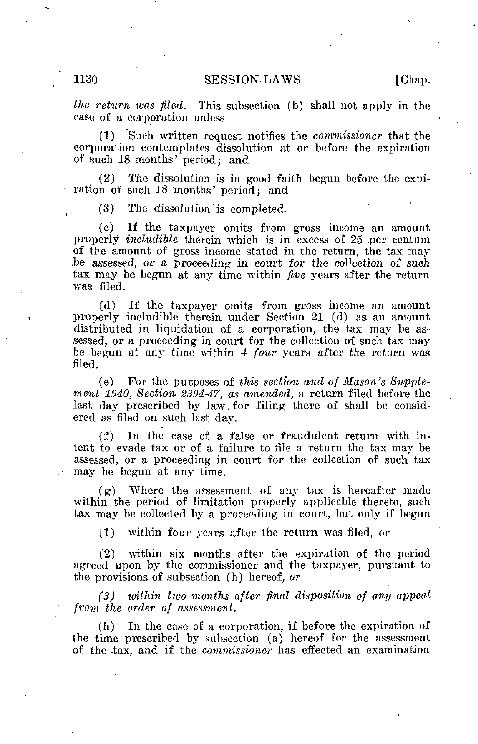### 1130 SESSION-LAWS [Chap.

the return was fled. This subsection (b) shall not apply in the case of a corporation unless

(1) Such written request notifies the commissioner that the corporation contemplates dissolution at or before the expiration of such 18 months' period; and

(2) The dissolution is in good faith begun before the expiration of such 38 months' period; and

(3) The dissolution ' is completed.

(c) If the taxpayer omits from gross income an amount properly *includible* therein which is in excess of 25 per centum of the amount of gross income stated in the return, the tax may be assessed, or a proceeding in court for the collection of such tax may be begun at any time within five years after the return •was filed.

(d) If the taxpayer omits from gross income an amount properly includible therein under Section 21 (d) as an amount distributed in liquidation of a corporation, the tax may be assessed, or a proceeding in court for the collection of such tax may be begun at any time within 4 four years after the return was filed.

(e) For the purposes of this section and of Mason's Supplement 1940, Section 2394-47, as amended, a return filed before the last day prescribed by law for filing there of shall be considered as filed on such last day.

(f) In the case of a false or fraudulent return with intent to evade tax or of a failure to file a return the tax may be assessed, or a proceeding in court for the collection of such tax may be begun at any time.

 $(g)$  Where the assessment of any tax is hereafter made within the period of limitation properly applicable thereto, such tax may be collected by a proceeding in court, but only if begun

(1) within four years after the return was filed, or

(2) within six months after the expiration of the period agreed upon by the commissioner and the taxpayer, pursuant to the provisions of subsection (h) hereof, or

(3) witliin two months after final disposition of any appeal from the order of assessment.

(h) In the case of a corporation, if before the expiration of the time prescribed by subsection (a) hereof for the assessment of the tax, and if the commissioner has effected an examination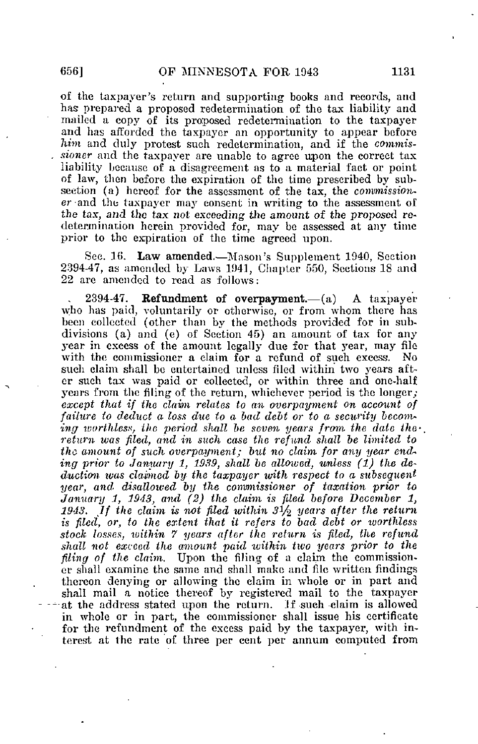of the taxpayer's return and supporting books and records, and has prepared a proposed redetermination of the tax liability and mailed a copy of its proposed redetermination to the taxpayer and has afforded the taxpayer an opportunity to appear before him and duly protest such redetermination, and if the commissioner and the taxpayer are unable to agree upon the correct tax liability because of a disagreement as to a material fact or point of law, then before the expiration of the time prescribed by subsection (a) hereof for the assessment of the tax, the commissioner and the taxpayer may consent in writing to the assessment of the tax, and the tax not exceeding the amount of the proposed redetermination herein provided for. may be assessed at any time prior to the expiration of the time agreed upon.

Sec. 16. Law amended.—Mason's Supplement 1940, Section 2394-47, as amended by Laws 1041, Chapter 550, Sections 18 and 22 arc amended to read as follows:

2394-47. Refundment of overpayment. $-(a)$  A taxpayer who has paid, voluntarily or otherwise, or from whom there has been collected (other than by the methods provided for in subdivisions (a) and (e) of Section 45) an amount of tax for any year in excess of the amount legally due for that year, may file with the commissioner a claim for a refund of such excess. No such claim shall be entertained unless filed within two years after such tax was paid or collected, or within three and one-half years from the filing of the return, whichever period is the longer; except that if the claim relates to an overpayment on account of failure to deduct a loss due to a bad debt or to a security becoming worthless, the period shall be seven years from the date the $\cdot$ . return was filed, and in such case the refund shall be limited to the amount of such overpayment; but no claim for any year ending prior to Jamiary 1, 1939, shall be allowed, unless (1) the deduction was claimed by the taxpayer with respect to a subsequent year, and disallowed by the commissioner of taxation prior to January 1, 1943, and  $(2)$  the claim is filed before December 1. 1943. If the claim is not filed within 3 $1/2$  years after the return is filed, or, to the extent that it refers to bad debt or tuorthless stock losses, within 7 years after the return is filed, the refund shall not exceed the amount paid within two years prior to the filing of the claim. Upon the filing of a claim the commission. er shall examine the same and shall make and file written findings thereon denying or allowing the claim in whole or in part and shall mail a notice thereof by registered mail to the taxpayer at the address stated upon the return. Jf such claim is allowed in whole or in part, the commissioner shall issue his certificate for the refimdment of the excess paid by the taxpayer, with interest at the rate of three per cent per annum computed from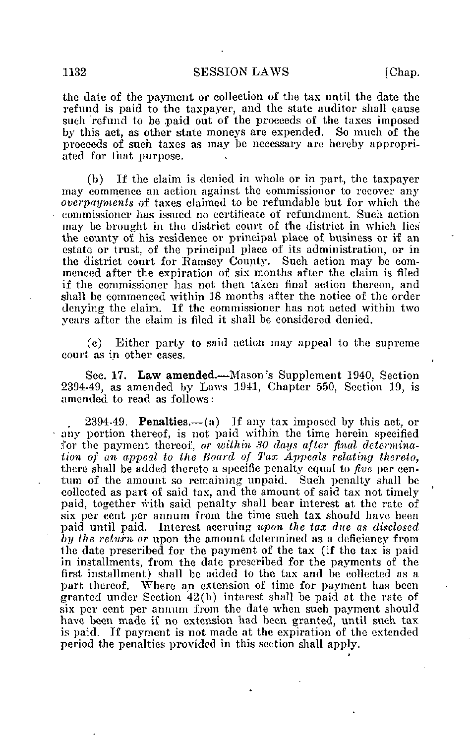the date of the payment or collection of the tax until the date the refund is paid to the taxpayer, and the state auditor shall cause such refund to be paid out of the proceeds of the taxes imposed by this act, as other state moneys are expended. So much of the proceeds of such taxes as may be necessary are hereby appropriated for that purpose.

(b) If the claim is denied in whole or in part, the taxpayer may commence an action against the commissioner to recover any overpayments of taxes claimed to be refundable but for which the commissioner has issued no certificate of refundmcnt. Such action may be brought in the district court of the district in which lies the county of his residence or principal place of business or if an estate or trust, of the principal place of its administration, or in the district court for Ramsey County. Such action may be commenced after the expiration of six months after the claim is filed if the commissioner has not then taken final action thereon, and shall be commenced within 18 months after the notice of the order denying the claim. If the commissioner has not acted within two years after the claim is filed it shall be considered denied.

(c) Either party to said action may appeal to the supreme court as in other cases.

Sec. 17. Law amended.—Mason's Supplement 1940, Section 2394-49, as amended by Laws 1941, Chapter 550, Section 19, is amended to read as follows:

2394-49. **Penalties.**—(a) If any tax imposed by this act, or any portion thereof, is not paid within the time herein specified for the payment thereof, or within 30 days after final determination of an appeal to the Hoard of Tax Appeals relating thereto, there shall be added thereto a specific penalty equal to five per eentum of the amount so remaining unpaid. Such penalty shall be collected as part of said tax, and the amount of said tax not timely paid, together with said penalty shall bear interest at the rate of six per cent per annum from the time such tax should have been paid until paid. Interest accruing upon the tax due as disclosed by the return or upon the amount determined as a deficiency from the date prescribed for the payment of the tax (if the tax is paid in installments, from the date prescribed for the payments of the first installment) shall be added to the tax and be collected as a part thereof. Where an extension of time for payment has been granted under Section 42(b) interest shall be paid at the rate of six per cent per annum from the date when such payment should have been made if no extension had been granted, until such tax is paid. If payment is not made at the expiration of the extended period the penalties provided in this section shall apply.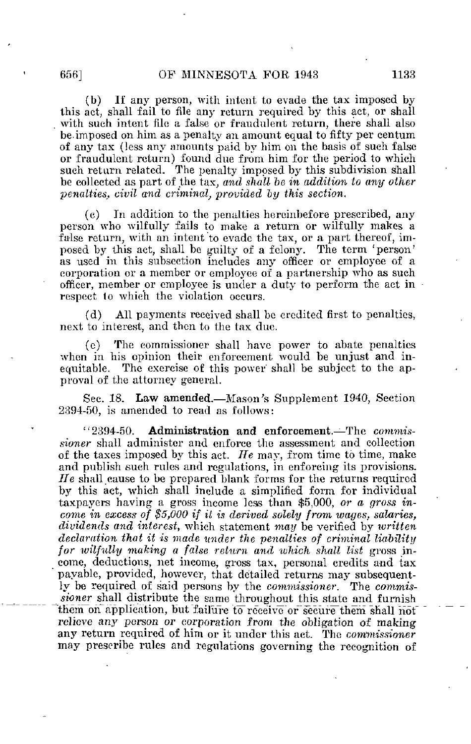(b) If any person, with intent to evade the tax imposed by this act, shall fail to file any return required by this act, or shall with such intent file a false or fraudulent return, there shall also be. imposed on him as a penalty an amount equal to fifty per centum of any tax (less any amounts paid by him on the basis of such false or fraudulent return) found due from him for the period to which such return related. The penalty imposed by this subdivision shall be collected as part of the tax, and shall be in addition to any other  $penalties, civil$  and criminal, provided by this section.

(c) In addition to the penalties hereinbefore prescribed, any person who wilfully fails to make a return or wilfully makes a false return, with an intent to evade the tax, or a part thereof, imposed by this act, shall be guilty of a felony. The term 'person' as used in this subsection includes any officer or employee of a corporation or a member or employee of a partnership who as such officer, member or employee is under a duty to perform the act in respect to which the violation occurs.

(d) All payments received shall be credited first to penalties, next to interest, and then to the tax due.

(e) The commissioner shall have power to abate penalties when in his opinion their enforcement would be unjust and inequitable. The exercise of this power shall be subject to the approval of the attorney general.

Sec. 18. Law amended.—Mason's Supplement 1940, Section 2394-50, is amended to read as follows:

"2394-50. Administration and enforcement.—The commissioner shall administer and enforce the assessment and collection of the taxes imposed by this act. He may, from time to time, make and publish such rules and regulations, in enforcing its provisions. He shall cause to be prepared blank forms for the returns required by this act, which shall include a simplified form for individual taxpayers having a gross income less than \$5,000, or a, gross income in excess of \$5,000 if it is derived solely from wages, salaries, dividends and interest, which statement may be verified by written declaration that it is made under the penalties of criminal liability for wilfully making a false return and which shall list gross income, deductions, net income, gross tax, personal credits and tax payable, provided, however, that detailed returns may subsequently be required of said persons by the commissioner. The commissioner shall distribute the same throughout this state and furnish them on application, but failure to receive or secure them shall not relieve any person or corporation from the obligation of making any return required of him or it under this act. The commissioner may prescribe rules and regulations governing the recognition of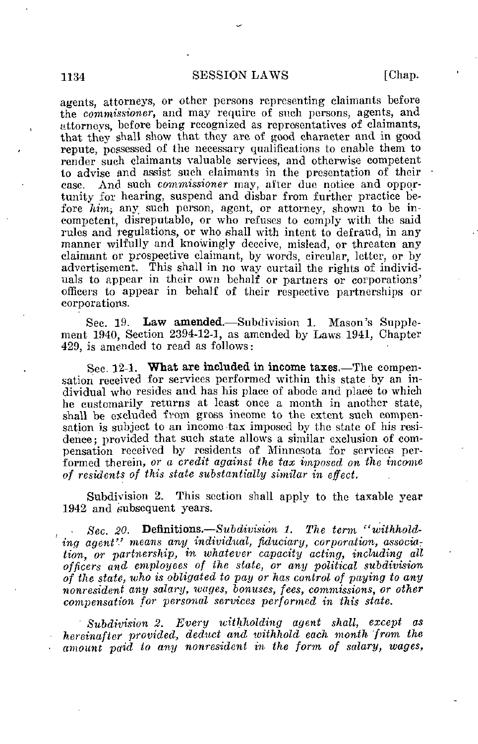### 1134 SESSION LAWS [Chap.

agents, attorneys, or other persons representing claimants before the commissioner, and may require of such persons, agents, and attorneys, before being recognized as representatives of claimants, that they shall show that they arc of good character and in good repute, possessed of the necessary qualifications to enable them to render such claimants valuable services, and otherwise competent to advise and assist such claimants in the presentation of their case. And such commissioner may, after due notice and opportunity for hearing, suspend and disbar from further practice before him, any such person, agent, or attorney, shown to be incompetent, disreputable, or who refuses to comply with the said rules and regulations, or who shall with intent to defraud, in any manner wilfully and knowingly deceive, mislead, or threaten any claimant or prospective claimant, by words, circular, letter, or by advertisement. This shall in no way curtail the rights of individuals to appear in their own behalf or partners or corporations' officers to appear in behalf of their respective partnerships or corporations.

Sec. 19. Law amended.—Subdivision 1. Mason's Supplement 1940, Section 2394-12-1, as amended by Laws 1941, Chapter 429, is amended to read as follows:

Sec. 12-1. What are included in income taxes.—The compensation received for services performed within this state by an individual who resides and has his place of abode and place to which he customarily returns at least once a month in another state, shall be excluded from gross income to the extent such compensation is subject to an income tax imposed by the state of his residence ; provided that such state allows a similar exclusion of compensation received by residents of Minnesota for services performed therein, or a credit against the tax imposed on the income of residents of this state substantially similar in effect.

Subdivision 2. This section shall apply to the taxable year 1942 and subsequent years.

• Sec. 20. Definitions.—Subdivision 1. The term "withholding agent" means any individual, fiduciary, corporation, association, or partnership, in whatever capacity acting, including all officers and employees of the state, or any political subdivision of the state, who is obligated to pay or has control of paying to any nonresident any salary, wages, bonuses, fees, commissions, or other compensation for personal services performed in this state.

Subdivision 2. Every withholding agent shall, except as hereinafter provided, deduct and withhold each month from the amount paid to any nonresident in the form of salary, wages,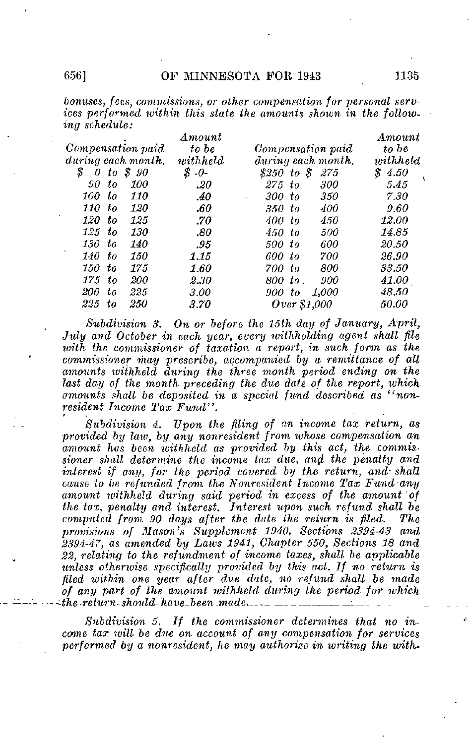## 6561 **OF MINNESOTA FOR 1943** 1135

bonuses, fees, commissions, or other compensation for personal services performed within this state the amounts shown in the following schedule:

|                                | $A \mathit{mount}$ |                    | Amount       |
|--------------------------------|--------------------|--------------------|--------------|
| Compensation paid              | to be              | Compensation paid  | to be        |
| during each month.             | with held          | during each month. | with held    |
| S<br>S 90<br>to<br>0           | S.<br>$-0-$        | \$250 to \$<br>275 | S<br>4.50    |
| 100<br>90-to                   | $.20\,$            | $275$ to<br>300    | 5.45         |
| 100.<br>to<br><i>110</i>       | -40                | 300 to<br>350      | 7.30         |
| <i>110</i><br><i>120</i><br>tο | .60                | 400<br>350 to      | 9.60         |
| 120<br>to<br>125               | .70                | 450<br>400 to      | <i>12.00</i> |
| 125<br><i>130</i><br>to        | .80                | 500<br>450 to      | 14.85        |
| 130<br><i>140</i><br>to        | .95                | 600<br>500 to      | 20.50        |
| 140 to<br>150                  | 1.15               | 600 to<br>700      | 26.90        |
| 150.<br>tо<br>175              | 1.60               | 800<br>700 to      | 33.50        |
| 175<br>200<br>tо               | 2.30               | 800 to<br>900      | 41.00        |
| 200<br>225<br>$t\circ$         | 3.00               | 1.000<br>900 to    | 48.50        |
| 225<br>250<br>to               | 3.70               | Over \$1,000       | <i>50.00</i> |

Subdivision 3. On or before the 15th day of January, April, July and October in each year, every withholding agent shall file with the commissioner of taxation a report, in such form as the commissioner may prescribe, accompanied by a remittance of all amounts withheld during the three month period ending on the last day of the month preceding the due date of the report, which amounts shall be deposited in a special fund described as "nonresident Income Tax Fund".

Subdivision 4. Upon the filing of an income tax return, as provided by law, by any nonresident from whose compensation an amount has been withheld as provided by this act, the commissioner shall determine the income tax due, and the penalty and interest if any, for the period covered by the return, and shall cause to be refunded from the Nonresident Income Tax Fund any amount withheld during said period in excess of the amount of the tax, penalty and interest. Interest upon such refund shall be computed from 90 days after the date the return is filed. The computed from  $90$  days after the date the return is filed. provisions of Mason's Supplement 1940, Sections 2394-43 and 2394-47, as amended by Laivs 1941, Chapter 550, Sections 18 and 22, relating to the refundment of income taxes, shall be applicable unless otherwise specifically provided by this act. If no return is filed ivithin one year after due date, no refund shall be made of any part of the amount withheld during the period for which  $the$  -return-should-have-been made......

Subdivision 5. If the commissioner determines that no income tax will be due on account of any compensation for services performed by a nonresident, he may authorize in writing the with-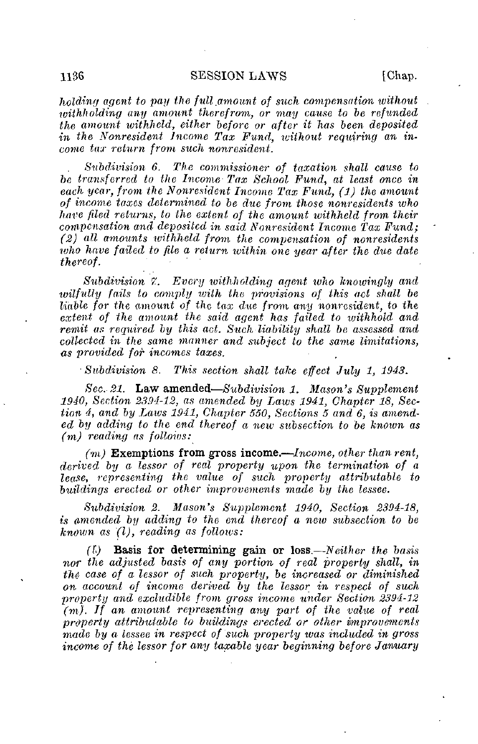holding agent to pay the full amount of such compensation without withholding any amount therefrom, or may cause to be refunded the amount withheld, either before or after it has been deposited in the Nonresident Income Tax Fund, without requiring an income tay return from such nonresident.

Subdivision 6. The commissioner of taxation shall cause to be transferred to the Income Tax School Fund, at least once in each year, from the Nonresident Income Tax Fund, (1) the amount of income taxes determined to be due from those nonresidents who have fled returns, to the extent of the amount withheld from their compensation and deposited in said Nonresident Income Tax Fund; (2) all amounts withheld from the compensation of nonresidents who have failed to file a return within one year after the due date thereof.

Subdivision 7. Every withholding agent who knowingly and wilfully fails to comply with the provisions of this act shall be liable for the amount of the tax due from any nonresident, to the extent of the amount the said agent has failed to withhold and remit as required by this act. Such liability shall be assessed and collected in the same manner and subject to the same limitations, as provided for incomes taxes.

• Subdivision 8. This section shall take effect July 1, 1943.

Sec. 21. Law amended—Subdivision 1. Mason's Supplement 1940, Section 2394-12, as amended by Laws 1941, Chapter 18, Section 4, and by Laws 1941, Chapter 550, Sections 5 and 6, is amended by adding to the end thereof a new subsection to be known as (m) reading as follows:

 $(m)$  Exemptions from gross income.—Income, other than rent, derived by a lessor of real property upon the termination of a lease, representing the value of such property attributable to buildings erected or other improvements made by the lessee.

Subdivision 2. Mason's Supplement 1940, Section 2394-18, is amended by adding to the end thereof a new subsection to be known as  $(l)$ , reading as follows:

 $(1)$  Basis for determining gain or loss.—Neither the basis nor the adjusted basis of any portion of real property shall, in the case of a lessor of such property, be increased or diminished on account of income derived by the lessor in respect of such property and excludible from gross income under Section 2394-12  $(m)$ . If an amount representing any part of the value of real property attributable to buildings erected or other improvements made by a lessee in respect of such property tvas included in gross income of the lessor for any taxable year beginning before January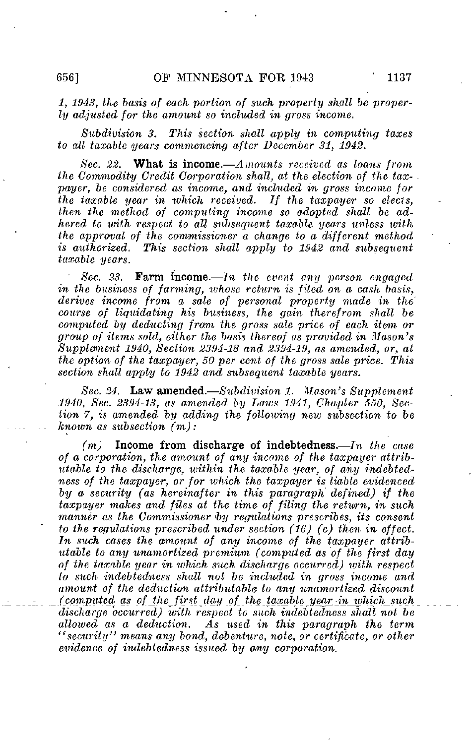1, 1943, the basis of each portion of such property shall be property adjusted for the amount so included in gross income.

Subdivision 3. This section shall apply in computing taxes to all taxable years commencing after December 31, 1942.

Sec. 22. What is income.—Amounts received as loans from the Commodity Credit Corporation shall, at the election of the taxpayer, be considered as income, and included in gross income for the taxable year in which received. If the taxpayer so elects, then the method of computing income so adopted shall be adhered to with respect to all subsequent taxable years unless with the approval of the commissioner  $\overline{a}$  change to a different method is authorized. This section shall apply to 1942 and subsequent taxable years.

Sec. 23. Farm income.—In the event any person engaged in the business of farming, whose return is filed on a cash basis, derives income from a sale of personal property made in the' course of liquidating his business, the gain therefrom shall be computed by deducting from the gross sale price of each item- or group of items sold, either the basis thereof as provided in Mason's Supplement 1940, Section 2394-18 and 2394-19, as amended, or, at the option of the taxpayer, 50 per cent of the gross sale price. This section shall apply to 1942 and subsequent taxable years.

Sec. 24. Law amended.—Subdivision 1. Mason's Supplement 1940, Sec. 2394-13, as amended, by Laws 1941, Chapter 550, Section 7, is amended by adding the following new subsection to be known as subsection (m):

 $(m)$  Income from discharge of indebtedness.—In the case of a corporation, the amount of any income of the taxpayer attributable to the discharge, within the taxable year, of any indebtedness of the taxpayer, or for which the taxpayer is liable evidenced by a security (as hereinafter in this paragraph defined) if the taxpayer makes and files at the time of filing the return, in such manner as the Commissioner by regulations prescribes, its consent to the regulations prescribed under section  $(16)$  (c) then in effect. In such cases the amount of any income of the taxpayer attributable to any unamortized premium (computed as of the first day of the taxable year in which such discharge occurred) with respect to such indebtedness shall not be included in gross income and amount of the deduction attributable to any unamortized discount (computed as of the first day of the taxable year in which such discharge occurred) with respect to such indebtedness shall not be allowed as a deduction. As used in this paragraph the term "security" means any bond, debenture, note, or certificate, or other evidence of indebtedness issued by any corporation.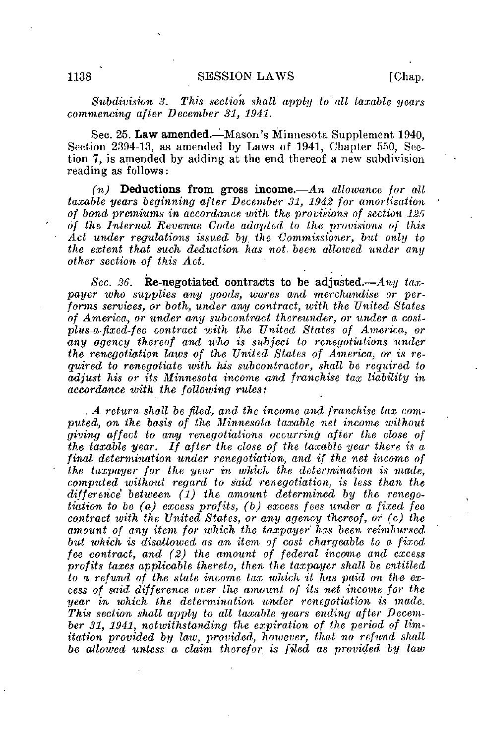Subdivision 3. This section shall apply to alt taxable years commencing after December 31, 1941.

Sec. 25. Law amended.—Mason's Minnesota Supplement 1940, Section 2394-13, as amended by Laws of 1941, Chapter 550, Section 7, is amended by adding at the end thereof a new subdivision reading as follows:

 $(n)$  Deductions from gross income.—An allowance for all taxable years beginning after December 31, 1942 for amortization of bond premiums in accordance with the provisions of section 125 of the Internal Revenue Code adapted to the provisions of this Act under regulations issued by the Commissioner, but only to the extent that such deduction has not. been allowed under any other section of this Act.

Sec. 26. Re-negotiated contracts to be adjusted.—Any taxpayer who supplies any goods, wares and merchandise or performs services, or both, under any contract, with the United States of America, or under any subcontract thereunder, or under a costplus-a-fixed-fee contract with the United States of America, or any agency thereof and who is subject to renegotiations under the renegotiation laws of the United States of America, or is required to renegotiate with his subcontractor, shall be required to adjust his or its Minnesota income and franchise tax liability in accordance with the following rules:

. A return shall be filed, and the income and franchise tax computed, on the basis of the Minnesota taxable net income without giving affect to any renegotiations occurring after the close of the taxable year. If after the close of the taxable year there is a final determination under renegotiation, and if the net income of the taxpayer for the year in which the determination is made, computed without regard to said renegotiation, is less than the difference between  $(1)$  the amount determined by the renegotiation to be (a) excess profits, (b) excess fees under a fixed fee contract with the United States, or any agency thereof, or (c) the amount of any item for which the taxpayer has been reimbursed but which is disallowed as an item of cost chargeable to a fixed fee contract, and (2) the amount of federal income and excess profits taxes applicable thereto, then the taxpayer shall be entitled to a refund of the state income tax which it has paid on the excess of said difference over the amount of its net income for the year in which the determination under renegotiation is made. This section shall apply to all taxable years ending after December 31, 1941, notwithstanding the expiration of the period of limitation provided by law, provided, however, that no refund shall be allowed unless a claim therefor is filed as provided by law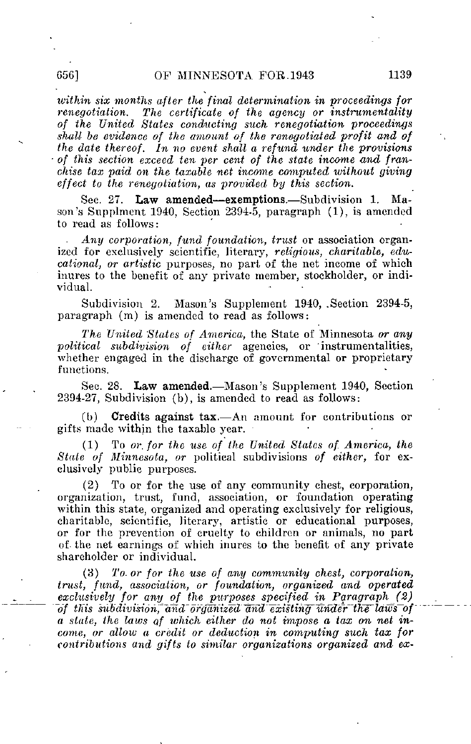within six months after the final determination in proceedings for renegotiation. The certificate of the agency or instrumentality of the United States conducting such renegotiation proceedings shall be evidence of the amount of the renegotiated profit and of the date thereof. In no event shall a refund under the provisions of this section exceed ten per cent of the state income and franchise tax paid on the taxable net income computed without giving effect to the renegotiation, as provided by this section.

See. 27. Law amended—exemptions.—Subdivision 1. Mason's Supplment 1940, Section 2394-5, paragraph (1), is amended to read as follows:

Any corporation, fund foundation, trust or association organized for exclusively scientific, literary, religious, charitable, educational, or artistic purposes, no part of the net income of which inures to the benefit of any private member, stockholder, or individual.

Subdivision 2. Mason's Supplement 1940, .Section 2394-5, paragraph (m) is amended to read as follows:

The United States of America, the State of Minnesota or any political subdivision of either agencies, or instrumentalities, whether engaged in the discharge of governmental or proprietary functions.

Sec. 28. Law amended.—Mason's Supplement 1940, Section 2394-27, Subdivision (b), is amended to read as follows:

(b) Credits against tax.—An amount for contributions or gifts made within the taxable year.

(1) To or. for the use of the United States of- America, the State of Minnesota, or political subdivisions of either, for exclusively public purposes.

(2) To or for the use of any community chest, corporation, organization, trust, fund, association, or foundation operating within this state, organized and operating exclusively for religious, charitable, scientific, literary, artistic or educational purposes, or for the prevention of cruelty to children or animals, no part of- the net earnings of which inures to the benefit of any private shareholder or individual.

To or for the use of any community chest, corporation, trust, fund, association, or foundation, organized and operated exclusively for any of the purposes specified in Paragraph (2)  $~of$  this subdivision, and organized and existing under the laws of a state, the laws of which either do not impose a tax on net income, or allow a credit or deduction in computing such tax for contributions and gifts to similar organizations organized and ex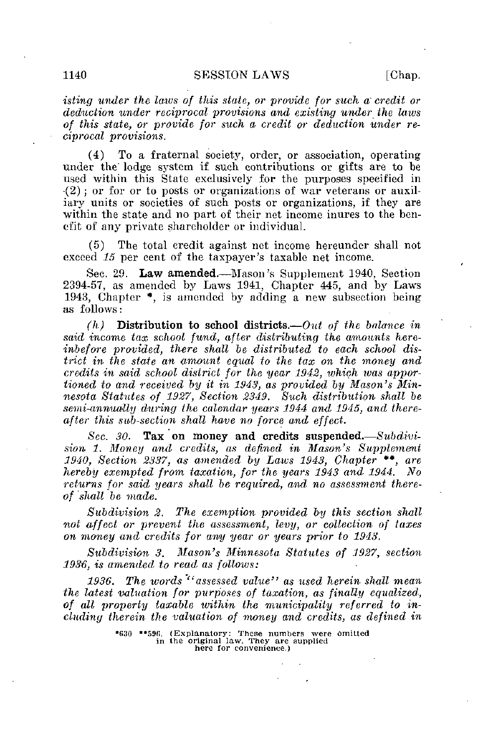isting under the laws of this state, or provide for such a' credit or deduction under reciprocal provisions and existing under the laws of this state, or provide for such a- credit or deduction under reciprocal provisions.

(4) To a fraternal society, order, or association, operating under the" lodge system if suck contributions or gifts are to be used within this State exclusively for the purposes specified in •(2) ; or for or to posts or organizations of war veterans or auxiliary units or societies of such posts or organizations, if they are within the state and no part of their net income inures to the benefit of any private shareholder or individual.

(5) The total credit against net income hereunder shall not exceed 15 per cent of the taxpayer's taxable net income.

Sec. 29. Law amended.—Mason's Supplement 1940, Section 2394-57, as amended by Laws 1941, Chapter 445, and by Laws 1943, Chapter  $*$ , is amended by adding a new subsection being as follows:

 $(h)$  Distribution to school districts.—Out of the balance in said income tax school fund, after distributing the amounts hereinbefore provided, there shall be distributed to each school district in the state an amount equal to the tax on the money and credits in said school district for the year 1942, which was apportioned to and received by it in 1943, as provided by Mason's Minnesota Statutes of 1927, Section 2349. Such distribution shall be semi-annually during the calendar years 1944 and 1945, and thereafter this sub-section shall have no force and effect.

Sec. 30. Tax on money and credits suspended.  $-Subdivi$ sion 1. Money and credits, as defined in Mason's Supplement 1940, Section 3337, as amended by Laws 1943, Chapter \*\*, are hereby exempted from taxation, for the years 1943 and 1944. returns for said years shall be required, and no assessment thereof shall be made.

Subdivision 2. The exemption provided by this section shall not affect or prevent the assessment, levy, or collection of taxes on money and credits for any year or years prior to 1943.

Subdivision 3. Mason's Minnesota Statutes of 1927, section 1936, is amended to read as follows:

1936. The words "assessed value" as used herein shall mean the latest valuation for purposes of taxation, as finally equalized, of all property taxable within the municipality referred to including therein the valuation of money and credits, as defined in

<sup>\*(130 \*\*59</sup>fi. (Explanatory: These numbers were omitted in the original law. They are supplied here for convenience.)